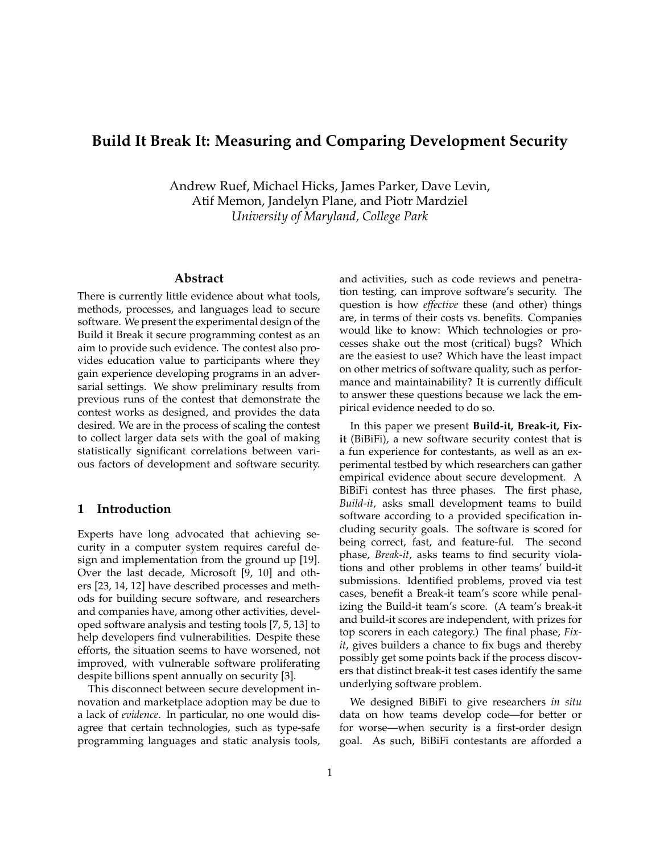# **Build It Break It: Measuring and Comparing Development Security**

Andrew Ruef, Michael Hicks, James Parker, Dave Levin, Atif Memon, Jandelyn Plane, and Piotr Mardziel *University of Maryland, College Park*

# **Abstract**

There is currently little evidence about what tools, methods, processes, and languages lead to secure software. We present the experimental design of the Build it Break it secure programming contest as an aim to provide such evidence. The contest also provides education value to participants where they gain experience developing programs in an adversarial settings. We show preliminary results from previous runs of the contest that demonstrate the contest works as designed, and provides the data desired. We are in the process of scaling the contest to collect larger data sets with the goal of making statistically significant correlations between various factors of development and software security.

## **1 Introduction**

Experts have long advocated that achieving security in a computer system requires careful design and implementation from the ground up [19]. Over the last decade, Microsoft [9, 10] and others [23, 14, 12] have described processes and methods for building secure software, and researchers and companies have, among other activities, developed software analysis and testing tools [7, 5, 13] to help developers find vulnerabilities. Despite these efforts, the situation seems to have worsened, not improved, with vulnerable software proliferating despite billions spent annually on security [3].

This disconnect between secure development innovation and marketplace adoption may be due to a lack of *evidence*. In particular, no one would disagree that certain technologies, such as type-safe programming languages and static analysis tools, and activities, such as code reviews and penetration testing, can improve software's security. The question is how *effective* these (and other) things are, in terms of their costs vs. benefits. Companies would like to know: Which technologies or processes shake out the most (critical) bugs? Which are the easiest to use? Which have the least impact on other metrics of software quality, such as performance and maintainability? It is currently difficult to answer these questions because we lack the empirical evidence needed to do so.

In this paper we present **Build-it, Break-it, Fixit** (BiBiFi), a new software security contest that is a fun experience for contestants, as well as an experimental testbed by which researchers can gather empirical evidence about secure development. A BiBiFi contest has three phases. The first phase, *Build-it*, asks small development teams to build software according to a provided specification including security goals. The software is scored for being correct, fast, and feature-ful. The second phase, *Break-it*, asks teams to find security violations and other problems in other teams' build-it submissions. Identified problems, proved via test cases, benefit a Break-it team's score while penalizing the Build-it team's score. (A team's break-it and build-it scores are independent, with prizes for top scorers in each category.) The final phase, *Fixit*, gives builders a chance to fix bugs and thereby possibly get some points back if the process discovers that distinct break-it test cases identify the same underlying software problem.

We designed BiBiFi to give researchers *in situ* data on how teams develop code—for better or for worse—when security is a first-order design goal. As such, BiBiFi contestants are afforded a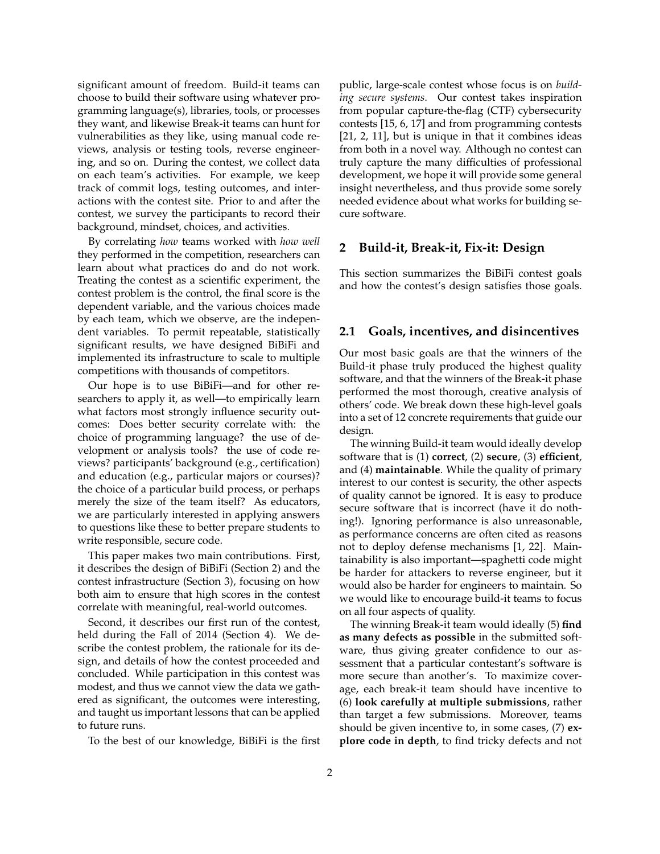significant amount of freedom. Build-it teams can choose to build their software using whatever programming language(s), libraries, tools, or processes they want, and likewise Break-it teams can hunt for vulnerabilities as they like, using manual code reviews, analysis or testing tools, reverse engineering, and so on. During the contest, we collect data on each team's activities. For example, we keep track of commit logs, testing outcomes, and interactions with the contest site. Prior to and after the contest, we survey the participants to record their background, mindset, choices, and activities.

By correlating *how* teams worked with *how well* they performed in the competition, researchers can learn about what practices do and do not work. Treating the contest as a scientific experiment, the contest problem is the control, the final score is the dependent variable, and the various choices made by each team, which we observe, are the independent variables. To permit repeatable, statistically significant results, we have designed BiBiFi and implemented its infrastructure to scale to multiple competitions with thousands of competitors.

Our hope is to use BiBiFi—and for other researchers to apply it, as well—to empirically learn what factors most strongly influence security outcomes: Does better security correlate with: the choice of programming language? the use of development or analysis tools? the use of code reviews? participants' background (e.g., certification) and education (e.g., particular majors or courses)? the choice of a particular build process, or perhaps merely the size of the team itself? As educators, we are particularly interested in applying answers to questions like these to better prepare students to write responsible, secure code.

This paper makes two main contributions. First, it describes the design of BiBiFi (Section 2) and the contest infrastructure (Section 3), focusing on how both aim to ensure that high scores in the contest correlate with meaningful, real-world outcomes.

Second, it describes our first run of the contest, held during the Fall of 2014 (Section 4). We describe the contest problem, the rationale for its design, and details of how the contest proceeded and concluded. While participation in this contest was modest, and thus we cannot view the data we gathered as significant, the outcomes were interesting, and taught us important lessons that can be applied to future runs.

To the best of our knowledge, BiBiFi is the first

public, large-scale contest whose focus is on *building secure systems*. Our contest takes inspiration from popular capture-the-flag (CTF) cybersecurity contests [15, 6, 17] and from programming contests [21, 2, 11], but is unique in that it combines ideas from both in a novel way. Although no contest can truly capture the many difficulties of professional development, we hope it will provide some general insight nevertheless, and thus provide some sorely needed evidence about what works for building secure software.

## **2 Build-it, Break-it, Fix-it: Design**

This section summarizes the BiBiFi contest goals and how the contest's design satisfies those goals.

## **2.1 Goals, incentives, and disincentives**

Our most basic goals are that the winners of the Build-it phase truly produced the highest quality software, and that the winners of the Break-it phase performed the most thorough, creative analysis of others' code. We break down these high-level goals into a set of 12 concrete requirements that guide our design.

The winning Build-it team would ideally develop software that is (1) **correct**, (2) **secure**, (3) **efficient**, and (4) **maintainable**. While the quality of primary interest to our contest is security, the other aspects of quality cannot be ignored. It is easy to produce secure software that is incorrect (have it do nothing!). Ignoring performance is also unreasonable, as performance concerns are often cited as reasons not to deploy defense mechanisms [1, 22]. Maintainability is also important—spaghetti code might be harder for attackers to reverse engineer, but it would also be harder for engineers to maintain. So we would like to encourage build-it teams to focus on all four aspects of quality.

The winning Break-it team would ideally (5) **find as many defects as possible** in the submitted software, thus giving greater confidence to our assessment that a particular contestant's software is more secure than another's. To maximize coverage, each break-it team should have incentive to (6) **look carefully at multiple submissions**, rather than target a few submissions. Moreover, teams should be given incentive to, in some cases, (7) **explore code in depth**, to find tricky defects and not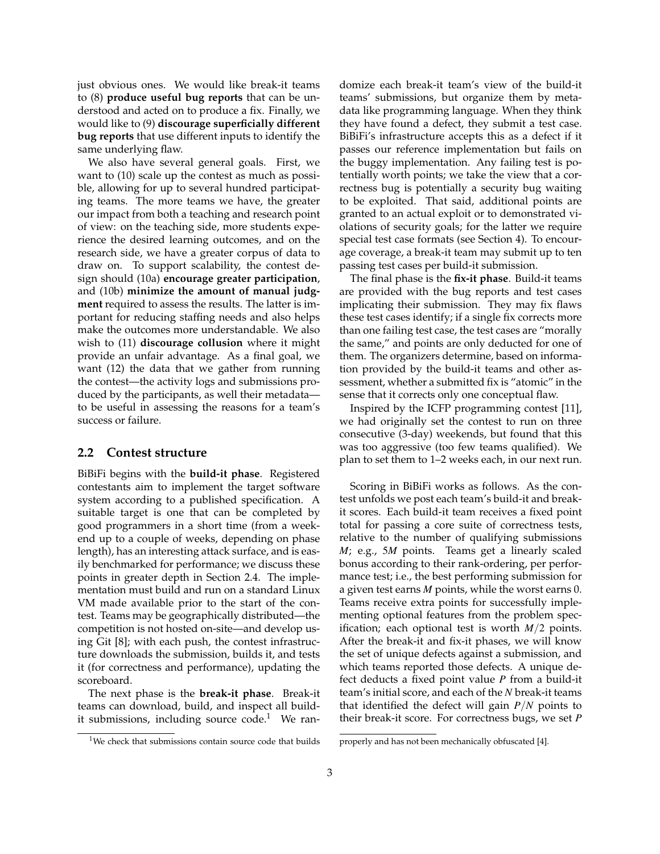just obvious ones. We would like break-it teams to (8) **produce useful bug reports** that can be understood and acted on to produce a fix. Finally, we would like to (9) **discourage superficially different bug reports** that use different inputs to identify the same underlying flaw.

We also have several general goals. First, we want to (10) scale up the contest as much as possible, allowing for up to several hundred participating teams. The more teams we have, the greater our impact from both a teaching and research point of view: on the teaching side, more students experience the desired learning outcomes, and on the research side, we have a greater corpus of data to draw on. To support scalability, the contest design should (10a) **encourage greater participation**, and (10b) **minimize the amount of manual judgment** required to assess the results. The latter is important for reducing staffing needs and also helps make the outcomes more understandable. We also wish to (11) **discourage collusion** where it might provide an unfair advantage. As a final goal, we want (12) the data that we gather from running the contest—the activity logs and submissions produced by the participants, as well their metadata to be useful in assessing the reasons for a team's success or failure.

#### **2.2 Contest structure**

BiBiFi begins with the **build-it phase**. Registered contestants aim to implement the target software system according to a published specification. A suitable target is one that can be completed by good programmers in a short time (from a weekend up to a couple of weeks, depending on phase length), has an interesting attack surface, and is easily benchmarked for performance; we discuss these points in greater depth in Section 2.4. The implementation must build and run on a standard Linux VM made available prior to the start of the contest. Teams may be geographically distributed—the competition is not hosted on-site—and develop using Git [8]; with each push, the contest infrastructure downloads the submission, builds it, and tests it (for correctness and performance), updating the scoreboard.

The next phase is the **break-it phase**. Break-it teams can download, build, and inspect all buildit submissions, including source  $code<sup>1</sup>$  We ran-

 $1$ We check that submissions contain source code that builds

domize each break-it team's view of the build-it teams' submissions, but organize them by metadata like programming language. When they think they have found a defect, they submit a test case. BiBiFi's infrastructure accepts this as a defect if it passes our reference implementation but fails on the buggy implementation. Any failing test is potentially worth points; we take the view that a correctness bug is potentially a security bug waiting to be exploited. That said, additional points are granted to an actual exploit or to demonstrated violations of security goals; for the latter we require special test case formats (see Section 4). To encourage coverage, a break-it team may submit up to ten passing test cases per build-it submission.

The final phase is the **fix-it phase**. Build-it teams are provided with the bug reports and test cases implicating their submission. They may fix flaws these test cases identify; if a single fix corrects more than one failing test case, the test cases are "morally the same," and points are only deducted for one of them. The organizers determine, based on information provided by the build-it teams and other assessment, whether a submitted fix is "atomic" in the sense that it corrects only one conceptual flaw.

Inspired by the ICFP programming contest [11], we had originally set the contest to run on three consecutive (3-day) weekends, but found that this was too aggressive (too few teams qualified). We plan to set them to 1–2 weeks each, in our next run.

Scoring in BiBiFi works as follows. As the contest unfolds we post each team's build-it and breakit scores. Each build-it team receives a fixed point total for passing a core suite of correctness tests, relative to the number of qualifying submissions *M*; e.g., 5*M* points. Teams get a linearly scaled bonus according to their rank-ordering, per performance test; i.e., the best performing submission for a given test earns *M* points, while the worst earns 0. Teams receive extra points for successfully implementing optional features from the problem specification; each optional test is worth *M*/2 points. After the break-it and fix-it phases, we will know the set of unique defects against a submission, and which teams reported those defects. A unique defect deducts a fixed point value *P* from a build-it team's initial score, and each of the *N* break-it teams that identified the defect will gain *P*/*N* points to their break-it score. For correctness bugs, we set *P*

properly and has not been mechanically obfuscated [4].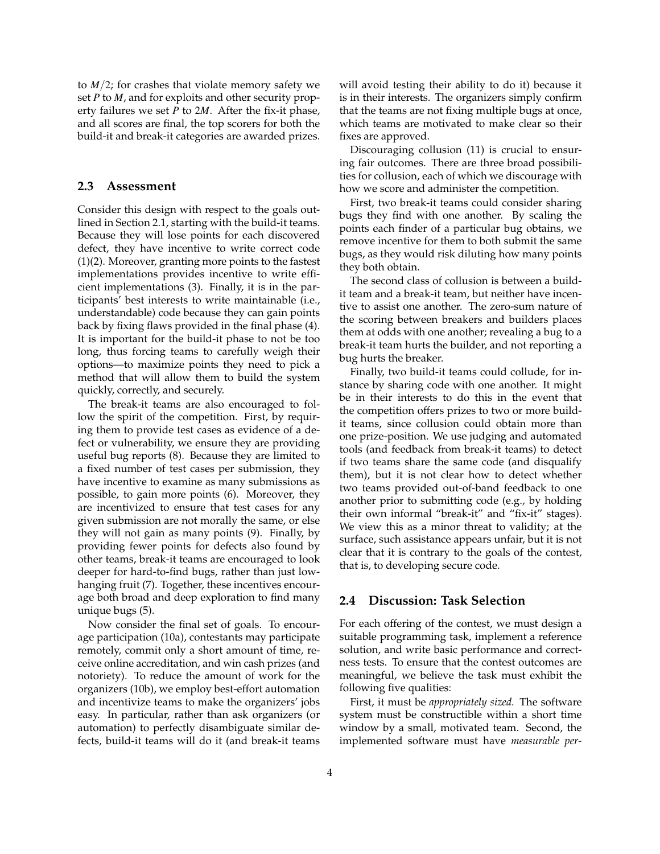to *M*/2; for crashes that violate memory safety we set *P* to *M*, and for exploits and other security property failures we set *P* to 2*M*. After the fix-it phase, and all scores are final, the top scorers for both the build-it and break-it categories are awarded prizes.

#### **2.3 Assessment**

Consider this design with respect to the goals outlined in Section 2.1, starting with the build-it teams. Because they will lose points for each discovered defect, they have incentive to write correct code (1)(2). Moreover, granting more points to the fastest implementations provides incentive to write efficient implementations (3). Finally, it is in the participants' best interests to write maintainable (i.e., understandable) code because they can gain points back by fixing flaws provided in the final phase (4). It is important for the build-it phase to not be too long, thus forcing teams to carefully weigh their options—to maximize points they need to pick a method that will allow them to build the system quickly, correctly, and securely.

The break-it teams are also encouraged to follow the spirit of the competition. First, by requiring them to provide test cases as evidence of a defect or vulnerability, we ensure they are providing useful bug reports (8). Because they are limited to a fixed number of test cases per submission, they have incentive to examine as many submissions as possible, to gain more points (6). Moreover, they are incentivized to ensure that test cases for any given submission are not morally the same, or else they will not gain as many points (9). Finally, by providing fewer points for defects also found by other teams, break-it teams are encouraged to look deeper for hard-to-find bugs, rather than just lowhanging fruit (7). Together, these incentives encourage both broad and deep exploration to find many unique bugs (5).

Now consider the final set of goals. To encourage participation (10a), contestants may participate remotely, commit only a short amount of time, receive online accreditation, and win cash prizes (and notoriety). To reduce the amount of work for the organizers (10b), we employ best-effort automation and incentivize teams to make the organizers' jobs easy. In particular, rather than ask organizers (or automation) to perfectly disambiguate similar defects, build-it teams will do it (and break-it teams will avoid testing their ability to do it) because it is in their interests. The organizers simply confirm that the teams are not fixing multiple bugs at once, which teams are motivated to make clear so their fixes are approved.

Discouraging collusion (11) is crucial to ensuring fair outcomes. There are three broad possibilities for collusion, each of which we discourage with how we score and administer the competition.

First, two break-it teams could consider sharing bugs they find with one another. By scaling the points each finder of a particular bug obtains, we remove incentive for them to both submit the same bugs, as they would risk diluting how many points they both obtain.

The second class of collusion is between a buildit team and a break-it team, but neither have incentive to assist one another. The zero-sum nature of the scoring between breakers and builders places them at odds with one another; revealing a bug to a break-it team hurts the builder, and not reporting a bug hurts the breaker.

Finally, two build-it teams could collude, for instance by sharing code with one another. It might be in their interests to do this in the event that the competition offers prizes to two or more buildit teams, since collusion could obtain more than one prize-position. We use judging and automated tools (and feedback from break-it teams) to detect if two teams share the same code (and disqualify them), but it is not clear how to detect whether two teams provided out-of-band feedback to one another prior to submitting code (e.g., by holding their own informal "break-it" and "fix-it" stages). We view this as a minor threat to validity; at the surface, such assistance appears unfair, but it is not clear that it is contrary to the goals of the contest, that is, to developing secure code.

## **2.4 Discussion: Task Selection**

For each offering of the contest, we must design a suitable programming task, implement a reference solution, and write basic performance and correctness tests. To ensure that the contest outcomes are meaningful, we believe the task must exhibit the following five qualities:

First, it must be *appropriately sized.* The software system must be constructible within a short time window by a small, motivated team. Second, the implemented software must have *measurable per-*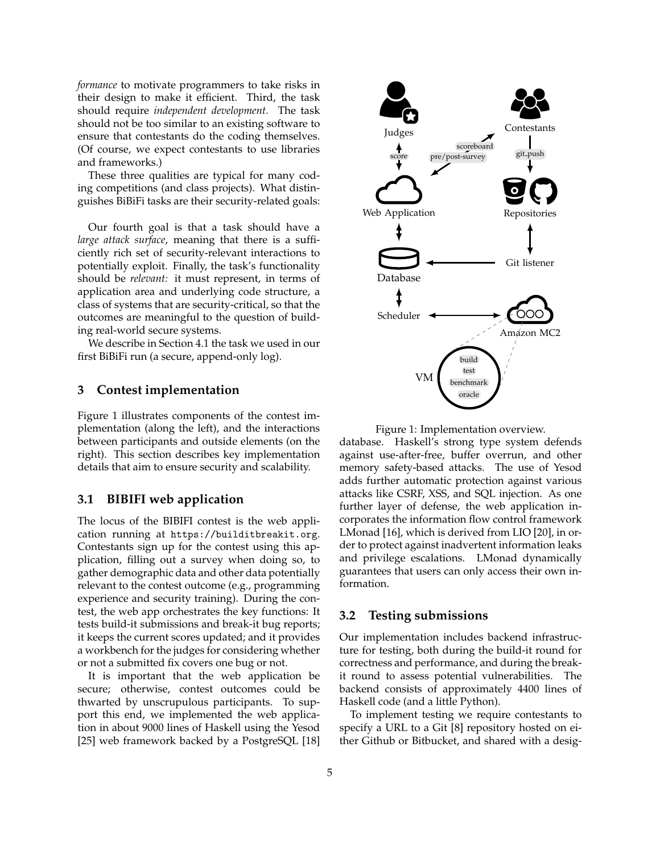*formance* to motivate programmers to take risks in their design to make it efficient. Third, the task should require *independent development.* The task should not be too similar to an existing software to ensure that contestants do the coding themselves. (Of course, we expect contestants to use libraries and frameworks.)

These three qualities are typical for many coding competitions (and class projects). What distinguishes BiBiFi tasks are their security-related goals:

Our fourth goal is that a task should have a *large attack surface*, meaning that there is a sufficiently rich set of security-relevant interactions to potentially exploit. Finally, the task's functionality should be *relevant:* it must represent, in terms of application area and underlying code structure, a class of systems that are security-critical, so that the outcomes are meaningful to the question of building real-world secure systems.

We describe in Section 4.1 the task we used in our first BiBiFi run (a secure, append-only log).

## **3 Contest implementation**

Figure 1 illustrates components of the contest implementation (along the left), and the interactions between participants and outside elements (on the right). This section describes key implementation details that aim to ensure security and scalability.

#### **3.1 BIBIFI web application**

The locus of the BIBIFI contest is the web application running at https://builditbreakit.org. Contestants sign up for the contest using this application, filling out a survey when doing so, to gather demographic data and other data potentially relevant to the contest outcome (e.g., programming experience and security training). During the contest, the web app orchestrates the key functions: It tests build-it submissions and break-it bug reports; it keeps the current scores updated; and it provides a workbench for the judges for considering whether or not a submitted fix covers one bug or not.

It is important that the web application be secure; otherwise, contest outcomes could be thwarted by unscrupulous participants. To support this end, we implemented the web application in about 9000 lines of Haskell using the Yesod [25] web framework backed by a PostgreSQL [18]



Figure 1: Implementation overview.

database. Haskell's strong type system defends against use-after-free, buffer overrun, and other memory safety-based attacks. The use of Yesod adds further automatic protection against various attacks like CSRF, XSS, and SQL injection. As one further layer of defense, the web application incorporates the information flow control framework LMonad [16], which is derived from LIO [20], in order to protect against inadvertent information leaks and privilege escalations. LMonad dynamically guarantees that users can only access their own information.

#### **3.2 Testing submissions**

Our implementation includes backend infrastructure for testing, both during the build-it round for correctness and performance, and during the breakit round to assess potential vulnerabilities. The backend consists of approximately 4400 lines of Haskell code (and a little Python).

To implement testing we require contestants to specify a URL to a Git [8] repository hosted on either Github or Bitbucket, and shared with a desig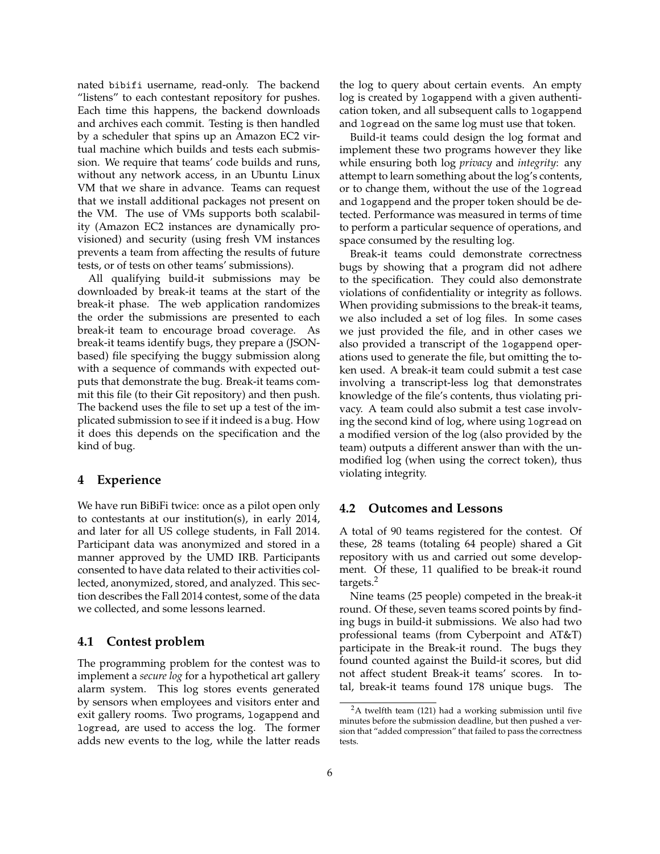nated bibifi username, read-only. The backend "listens" to each contestant repository for pushes. Each time this happens, the backend downloads and archives each commit. Testing is then handled by a scheduler that spins up an Amazon EC2 virtual machine which builds and tests each submission. We require that teams' code builds and runs, without any network access, in an Ubuntu Linux VM that we share in advance. Teams can request that we install additional packages not present on the VM. The use of VMs supports both scalability (Amazon EC2 instances are dynamically provisioned) and security (using fresh VM instances prevents a team from affecting the results of future tests, or of tests on other teams' submissions).

All qualifying build-it submissions may be downloaded by break-it teams at the start of the break-it phase. The web application randomizes the order the submissions are presented to each break-it team to encourage broad coverage. As break-it teams identify bugs, they prepare a (JSONbased) file specifying the buggy submission along with a sequence of commands with expected outputs that demonstrate the bug. Break-it teams commit this file (to their Git repository) and then push. The backend uses the file to set up a test of the implicated submission to see if it indeed is a bug. How it does this depends on the specification and the kind of bug.

# **4 Experience**

We have run BiBiFi twice: once as a pilot open only to contestants at our institution(s), in early 2014, and later for all US college students, in Fall 2014. Participant data was anonymized and stored in a manner approved by the UMD IRB. Participants consented to have data related to their activities collected, anonymized, stored, and analyzed. This section describes the Fall 2014 contest, some of the data we collected, and some lessons learned.

#### **4.1 Contest problem**

The programming problem for the contest was to implement a *secure log* for a hypothetical art gallery alarm system. This log stores events generated by sensors when employees and visitors enter and exit gallery rooms. Two programs, logappend and logread, are used to access the log. The former adds new events to the log, while the latter reads

the log to query about certain events. An empty log is created by logappend with a given authentication token, and all subsequent calls to logappend and logread on the same log must use that token.

Build-it teams could design the log format and implement these two programs however they like while ensuring both log *privacy* and *integrity*: any attempt to learn something about the log's contents, or to change them, without the use of the logread and logappend and the proper token should be detected. Performance was measured in terms of time to perform a particular sequence of operations, and space consumed by the resulting log.

Break-it teams could demonstrate correctness bugs by showing that a program did not adhere to the specification. They could also demonstrate violations of confidentiality or integrity as follows. When providing submissions to the break-it teams, we also included a set of log files. In some cases we just provided the file, and in other cases we also provided a transcript of the logappend operations used to generate the file, but omitting the token used. A break-it team could submit a test case involving a transcript-less log that demonstrates knowledge of the file's contents, thus violating privacy. A team could also submit a test case involving the second kind of log, where using logread on a modified version of the log (also provided by the team) outputs a different answer than with the unmodified log (when using the correct token), thus violating integrity.

#### **4.2 Outcomes and Lessons**

A total of 90 teams registered for the contest. Of these, 28 teams (totaling 64 people) shared a Git repository with us and carried out some development. Of these, 11 qualified to be break-it round targets.<sup>2</sup>

Nine teams (25 people) competed in the break-it round. Of these, seven teams scored points by finding bugs in build-it submissions. We also had two professional teams (from Cyberpoint and AT&T) participate in the Break-it round. The bugs they found counted against the Build-it scores, but did not affect student Break-it teams' scores. In total, break-it teams found 178 unique bugs. The

<sup>&</sup>lt;sup>2</sup>A twelfth team (121) had a working submission until five minutes before the submission deadline, but then pushed a version that "added compression" that failed to pass the correctness tests.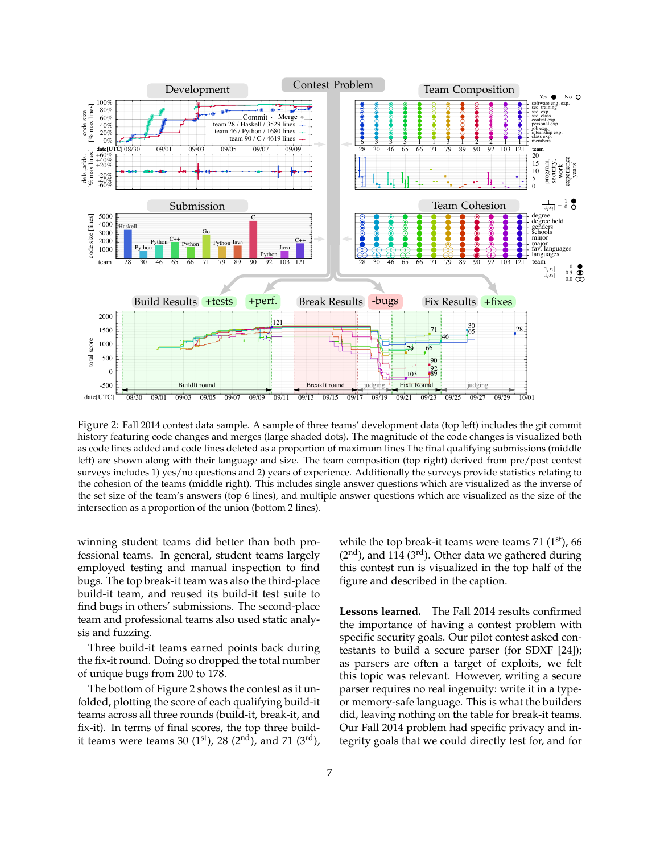

Figure 2: Fall 2014 contest data sample. A sample of three teams' development data (top left) includes the git commit history featuring code changes and merges (large shaded dots). The magnitude of the code changes is visualized both as code lines added and code lines deleted as a proportion of maximum lines The final qualifying submissions (middle left) are shown along with their language and size. The team composition (top right) derived from pre/post contest surveys includes 1) yes/no questions and 2) years of experience. Additionally the surveys provide statistics relating to the cohesion of the teams (middle right). This includes single answer questions which are visualized as the inverse of the set size of the team's answers (top 6 lines), and multiple answer questions which are visualized as the size of the intersection as a proportion of the union (bottom 2 lines).

winning student teams did better than both professional teams. In general, student teams largely employed testing and manual inspection to find bugs. The top break-it team was also the third-place build-it team, and reused its build-it test suite to find bugs in others' submissions. The second-place team and professional teams also used static analysis and fuzzing.

Three build-it teams earned points back during the fix-it round. Doing so dropped the total number of unique bugs from 200 to 178.

The bottom of Figure 2 shows the contest as it unfolded, plotting the score of each qualifying build-it teams across all three rounds (build-it, break-it, and fix-it). In terms of final scores, the top three buildit teams were teams 30 (1st), 28 (2nd), and 71 (3rd), while the top break-it teams were teams 71  $(1<sup>st</sup>)$ , 66  $(2<sup>nd</sup>)$ , and 114 (3<sup>rd</sup>). Other data we gathered during this contest run is visualized in the top half of the figure and described in the caption.

Lessons learned. The Fall 2014 results confirmed the importance of having a contest problem with specific security goals. Our pilot contest asked contestants to build a secure parser (for SDXF [24]); as parsers are often a target of exploits, we felt this topic was relevant. However, writing a secure parser requires no real ingenuity: write it in a typeor memory-safe language. This is what the builders did, leaving nothing on the table for break-it teams. Our Fall 2014 problem had specific privacy and integrity goals that we could directly test for, and for